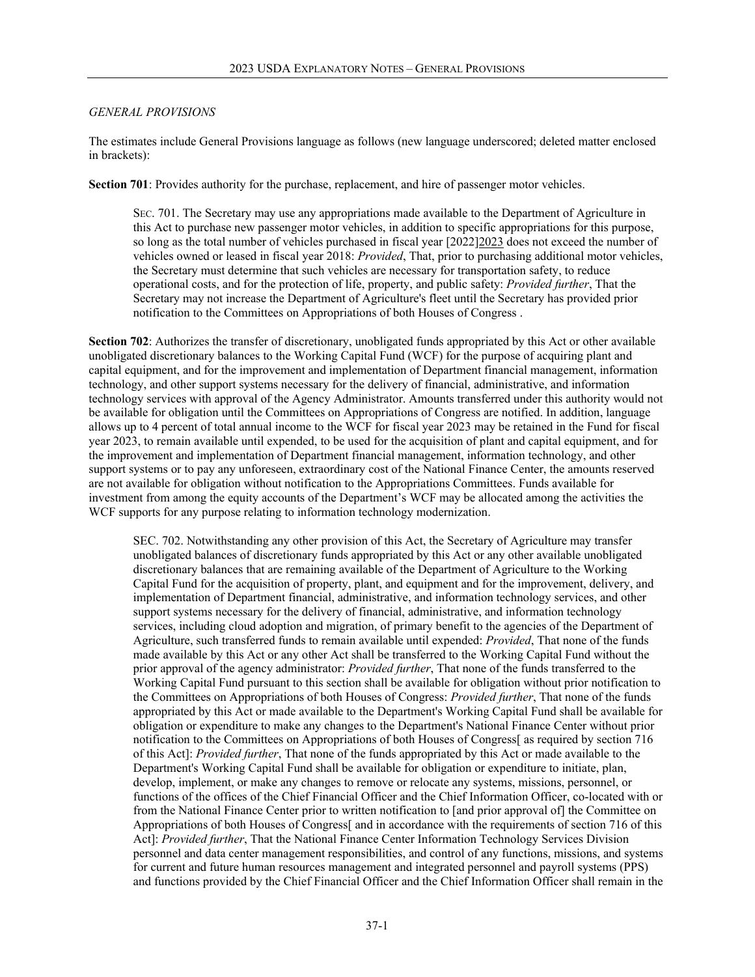## *GENERAL PROVISIONS*

The estimates include General Provisions language as follows (new language underscored; deleted matter enclosed in brackets):

**Section 701**: Provides authority for the purchase, replacement, and hire of passenger motor vehicles.

SEC. 701. The Secretary may use any appropriations made available to the Department of Agriculture in this Act to purchase new passenger motor vehicles, in addition to specific appropriations for this purpose, so long as the total number of vehicles purchased in fiscal year [2022]2023 does not exceed the number of vehicles owned or leased in fiscal year 2018: *Provided*, That, prior to purchasing additional motor vehicles, the Secretary must determine that such vehicles are necessary for transportation safety, to reduce operational costs, and for the protection of life, property, and public safety: *Provided further*, That the Secretary may not increase the Department of Agriculture's fleet until the Secretary has provided prior notification to the Committees on Appropriations of both Houses of Congress .

**Section 702**: Authorizes the transfer of discretionary, unobligated funds appropriated by this Act or other available unobligated discretionary balances to the Working Capital Fund (WCF) for the purpose of acquiring plant and capital equipment, and for the improvement and implementation of Department financial management, information technology, and other support systems necessary for the delivery of financial, administrative, and information technology services with approval of the Agency Administrator. Amounts transferred under this authority would not be available for obligation until the Committees on Appropriations of Congress are notified. In addition, language allows up to 4 percent of total annual income to the WCF for fiscal year 2023 may be retained in the Fund for fiscal year 2023, to remain available until expended, to be used for the acquisition of plant and capital equipment, and for the improvement and implementation of Department financial management, information technology, and other support systems or to pay any unforeseen, extraordinary cost of the National Finance Center, the amounts reserved are not available for obligation without notification to the Appropriations Committees. Funds available for investment from among the equity accounts of the Department's WCF may be allocated among the activities the WCF supports for any purpose relating to information technology modernization.

SEC. 702. Notwithstanding any other provision of this Act, the Secretary of Agriculture may transfer unobligated balances of discretionary funds appropriated by this Act or any other available unobligated discretionary balances that are remaining available of the Department of Agriculture to the Working Capital Fund for the acquisition of property, plant, and equipment and for the improvement, delivery, and implementation of Department financial, administrative, and information technology services, and other support systems necessary for the delivery of financial, administrative, and information technology services, including cloud adoption and migration, of primary benefit to the agencies of the Department of Agriculture, such transferred funds to remain available until expended: *Provided*, That none of the funds made available by this Act or any other Act shall be transferred to the Working Capital Fund without the prior approval of the agency administrator: *Provided further*, That none of the funds transferred to the Working Capital Fund pursuant to this section shall be available for obligation without prior notification to the Committees on Appropriations of both Houses of Congress: *Provided further*, That none of the funds appropriated by this Act or made available to the Department's Working Capital Fund shall be available for obligation or expenditure to make any changes to the Department's National Finance Center without prior notification to the Committees on Appropriations of both Houses of Congress[ as required by section 716 of this Act]: *Provided further*, That none of the funds appropriated by this Act or made available to the Department's Working Capital Fund shall be available for obligation or expenditure to initiate, plan, develop, implement, or make any changes to remove or relocate any systems, missions, personnel, or functions of the offices of the Chief Financial Officer and the Chief Information Officer, co-located with or from the National Finance Center prior to written notification to [and prior approval of] the Committee on Appropriations of both Houses of Congress[ and in accordance with the requirements of section 716 of this Act]: *Provided further*, That the National Finance Center Information Technology Services Division personnel and data center management responsibilities, and control of any functions, missions, and systems for current and future human resources management and integrated personnel and payroll systems (PPS) and functions provided by the Chief Financial Officer and the Chief Information Officer shall remain in the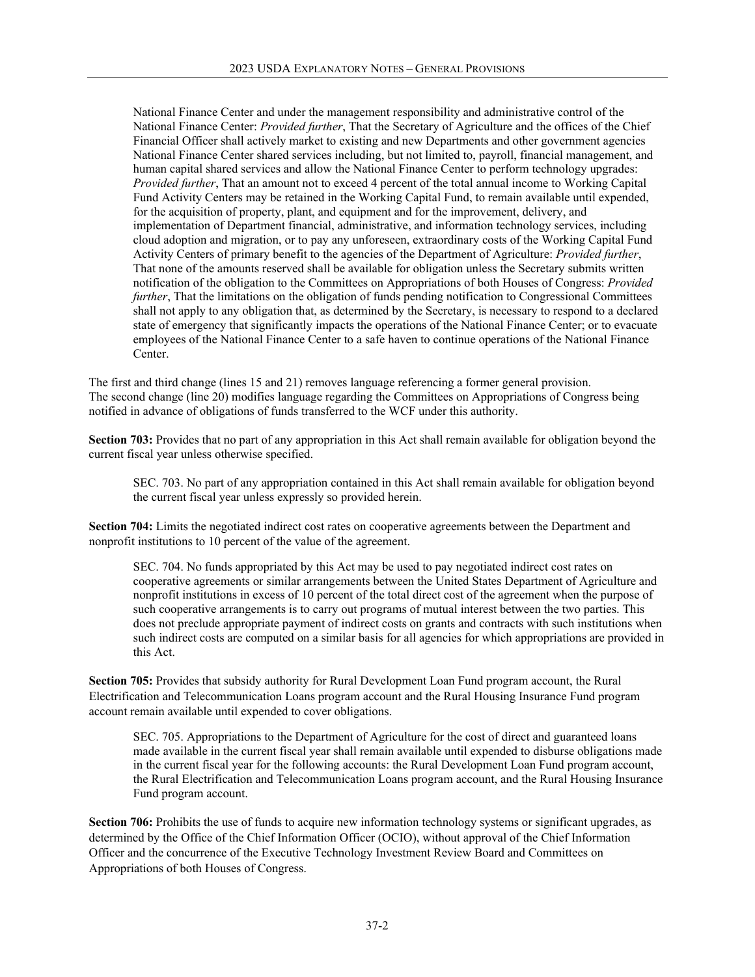National Finance Center and under the management responsibility and administrative control of the National Finance Center: *Provided further*, That the Secretary of Agriculture and the offices of the Chief Financial Officer shall actively market to existing and new Departments and other government agencies National Finance Center shared services including, but not limited to, payroll, financial management, and human capital shared services and allow the National Finance Center to perform technology upgrades: *Provided further*, That an amount not to exceed 4 percent of the total annual income to Working Capital Fund Activity Centers may be retained in the Working Capital Fund, to remain available until expended, for the acquisition of property, plant, and equipment and for the improvement, delivery, and implementation of Department financial, administrative, and information technology services, including cloud adoption and migration, or to pay any unforeseen, extraordinary costs of the Working Capital Fund Activity Centers of primary benefit to the agencies of the Department of Agriculture: *Provided further*, That none of the amounts reserved shall be available for obligation unless the Secretary submits written notification of the obligation to the Committees on Appropriations of both Houses of Congress: *Provided further*, That the limitations on the obligation of funds pending notification to Congressional Committees shall not apply to any obligation that, as determined by the Secretary, is necessary to respond to a declared state of emergency that significantly impacts the operations of the National Finance Center; or to evacuate employees of the National Finance Center to a safe haven to continue operations of the National Finance Center.

The first and third change (lines 15 and 21) removes language referencing a former general provision. The second change (line 20) modifies language regarding the Committees on Appropriations of Congress being notified in advance of obligations of funds transferred to the WCF under this authority.

**Section 703:** Provides that no part of any appropriation in this Act shall remain available for obligation beyond the current fiscal year unless otherwise specified.

SEC. 703. No part of any appropriation contained in this Act shall remain available for obligation beyond the current fiscal year unless expressly so provided herein.

**Section 704:** Limits the negotiated indirect cost rates on cooperative agreements between the Department and nonprofit institutions to 10 percent of the value of the agreement.

SEC. 704. No funds appropriated by this Act may be used to pay negotiated indirect cost rates on cooperative agreements or similar arrangements between the United States Department of Agriculture and nonprofit institutions in excess of 10 percent of the total direct cost of the agreement when the purpose of such cooperative arrangements is to carry out programs of mutual interest between the two parties. This does not preclude appropriate payment of indirect costs on grants and contracts with such institutions when such indirect costs are computed on a similar basis for all agencies for which appropriations are provided in this Act.

**Section 705:** Provides that subsidy authority for Rural Development Loan Fund program account, the Rural Electrification and Telecommunication Loans program account and the Rural Housing Insurance Fund program account remain available until expended to cover obligations.

SEC. 705. Appropriations to the Department of Agriculture for the cost of direct and guaranteed loans made available in the current fiscal year shall remain available until expended to disburse obligations made in the current fiscal year for the following accounts: the Rural Development Loan Fund program account, the Rural Electrification and Telecommunication Loans program account, and the Rural Housing Insurance Fund program account.

**Section 706:** Prohibits the use of funds to acquire new information technology systems or significant upgrades, as determined by the Office of the Chief Information Officer (OCIO), without approval of the Chief Information Officer and the concurrence of the Executive Technology Investment Review Board and Committees on Appropriations of both Houses of Congress.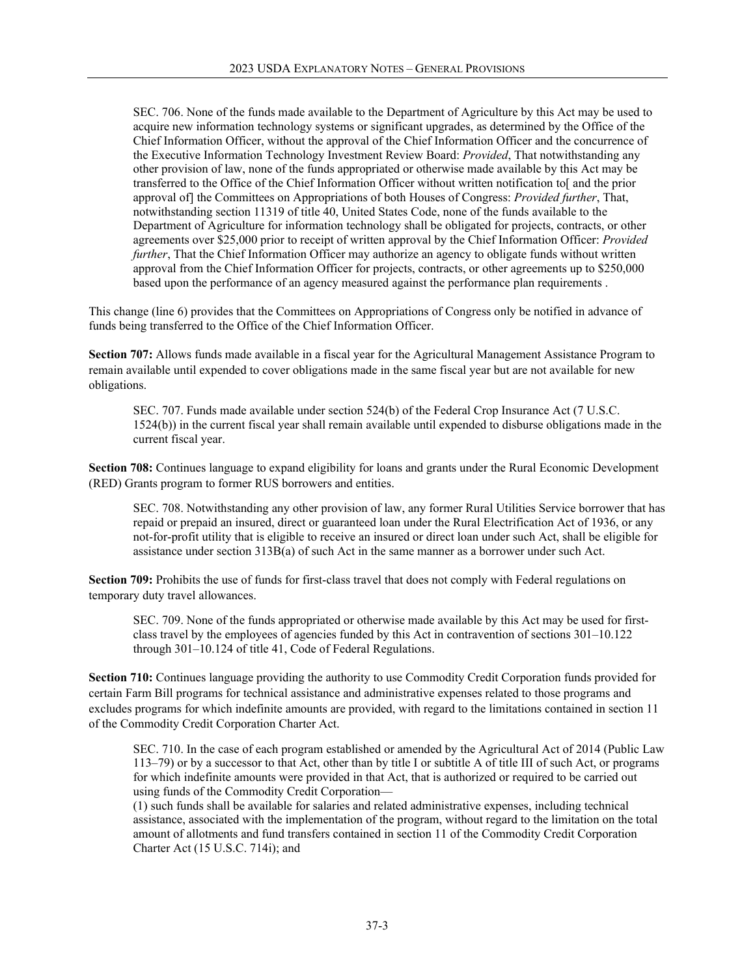SEC. 706. None of the funds made available to the Department of Agriculture by this Act may be used to acquire new information technology systems or significant upgrades, as determined by the Office of the Chief Information Officer, without the approval of the Chief Information Officer and the concurrence of the Executive Information Technology Investment Review Board: *Provided*, That notwithstanding any other provision of law, none of the funds appropriated or otherwise made available by this Act may be transferred to the Office of the Chief Information Officer without written notification to[ and the prior approval of] the Committees on Appropriations of both Houses of Congress: *Provided further*, That, notwithstanding section 11319 of title 40, United States Code, none of the funds available to the Department of Agriculture for information technology shall be obligated for projects, contracts, or other agreements over \$25,000 prior to receipt of written approval by the Chief Information Officer: *Provided further*, That the Chief Information Officer may authorize an agency to obligate funds without written approval from the Chief Information Officer for projects, contracts, or other agreements up to \$250,000 based upon the performance of an agency measured against the performance plan requirements .

This change (line 6) provides that the Committees on Appropriations of Congress only be notified in advance of funds being transferred to the Office of the Chief Information Officer.

**Section 707:** Allows funds made available in a fiscal year for the Agricultural Management Assistance Program to remain available until expended to cover obligations made in the same fiscal year but are not available for new obligations.

SEC. 707. Funds made available under section 524(b) of the Federal Crop Insurance Act (7 U.S.C. 1524(b)) in the current fiscal year shall remain available until expended to disburse obligations made in the current fiscal year.

**Section 708:** Continues language to expand eligibility for loans and grants under the Rural Economic Development (RED) Grants program to former RUS borrowers and entities.

SEC. 708. Notwithstanding any other provision of law, any former Rural Utilities Service borrower that has repaid or prepaid an insured, direct or guaranteed loan under the Rural Electrification Act of 1936, or any not-for-profit utility that is eligible to receive an insured or direct loan under such Act, shall be eligible for assistance under section 313B(a) of such Act in the same manner as a borrower under such Act.

**Section 709:** Prohibits the use of funds for first-class travel that does not comply with Federal regulations on temporary duty travel allowances.

SEC. 709. None of the funds appropriated or otherwise made available by this Act may be used for firstclass travel by the employees of agencies funded by this Act in contravention of sections 301–10.122 through 301–10.124 of title 41, Code of Federal Regulations.

**Section 710:** Continues language providing the authority to use Commodity Credit Corporation funds provided for certain Farm Bill programs for technical assistance and administrative expenses related to those programs and excludes programs for which indefinite amounts are provided, with regard to the limitations contained in section 11 of the Commodity Credit Corporation Charter Act.

SEC. 710. In the case of each program established or amended by the Agricultural Act of 2014 (Public Law 113–79) or by a successor to that Act, other than by title I or subtitle A of title III of such Act, or programs for which indefinite amounts were provided in that Act, that is authorized or required to be carried out using funds of the Commodity Credit Corporation—

(1) such funds shall be available for salaries and related administrative expenses, including technical assistance, associated with the implementation of the program, without regard to the limitation on the total amount of allotments and fund transfers contained in section 11 of the Commodity Credit Corporation Charter Act (15 U.S.C. 714i); and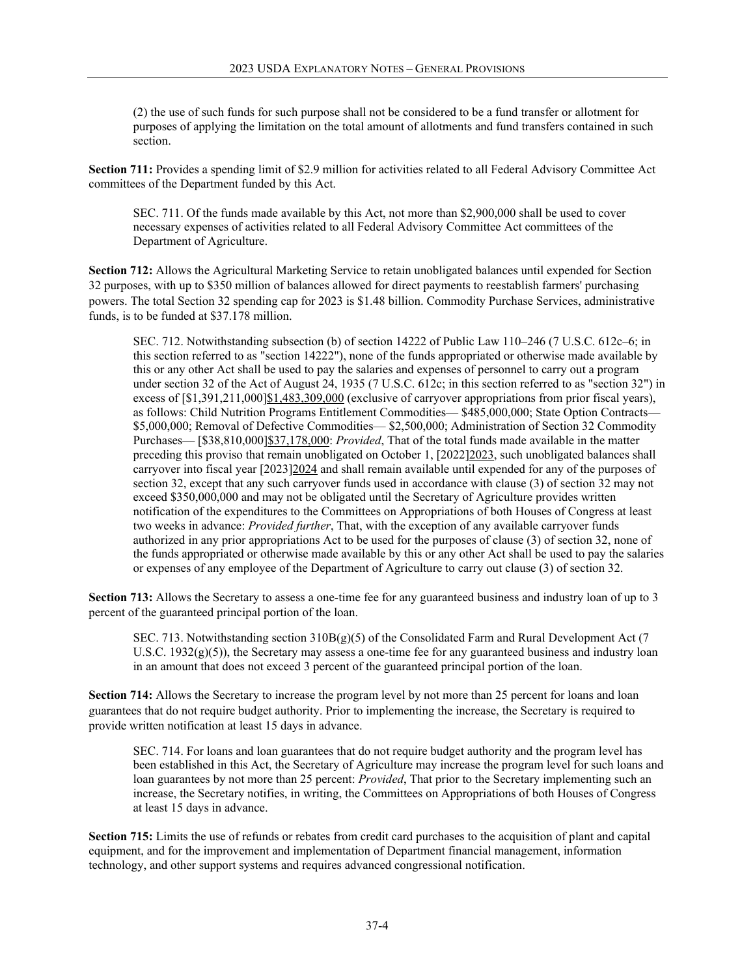(2) the use of such funds for such purpose shall not be considered to be a fund transfer or allotment for purposes of applying the limitation on the total amount of allotments and fund transfers contained in such section.

**Section 711:** Provides a spending limit of \$2.9 million for activities related to all Federal Advisory Committee Act committees of the Department funded by this Act.

SEC. 711. Of the funds made available by this Act, not more than \$2,900,000 shall be used to cover necessary expenses of activities related to all Federal Advisory Committee Act committees of the Department of Agriculture.

**Section 712:** Allows the Agricultural Marketing Service to retain unobligated balances until expended for Section 32 purposes, with up to \$350 million of balances allowed for direct payments to reestablish farmers' purchasing powers. The total Section 32 spending cap for 2023 is \$1.48 billion. Commodity Purchase Services, administrative funds, is to be funded at \$37.178 million.

SEC. 712. Notwithstanding subsection (b) of section 14222 of Public Law 110–246 (7 U.S.C. 612c–6; in this section referred to as "section 14222"), none of the funds appropriated or otherwise made available by this or any other Act shall be used to pay the salaries and expenses of personnel to carry out a program under section 32 of the Act of August 24, 1935 (7 U.S.C. 612c; in this section referred to as "section 32") in excess of [\$1,391,211,000]\$1,483,309,000 (exclusive of carryover appropriations from prior fiscal years), as follows: Child Nutrition Programs Entitlement Commodities— \$485,000,000; State Option Contracts— \$5,000,000; Removal of Defective Commodities— \$2,500,000; Administration of Section 32 Commodity Purchases— [\$38,810,000]\$37,178,000: *Provided*, That of the total funds made available in the matter preceding this proviso that remain unobligated on October 1, [2022]2023, such unobligated balances shall carryover into fiscal year [2023]2024 and shall remain available until expended for any of the purposes of section 32, except that any such carryover funds used in accordance with clause (3) of section 32 may not exceed \$350,000,000 and may not be obligated until the Secretary of Agriculture provides written notification of the expenditures to the Committees on Appropriations of both Houses of Congress at least two weeks in advance: *Provided further*, That, with the exception of any available carryover funds authorized in any prior appropriations Act to be used for the purposes of clause (3) of section 32, none of the funds appropriated or otherwise made available by this or any other Act shall be used to pay the salaries or expenses of any employee of the Department of Agriculture to carry out clause (3) of section 32.

**Section 713:** Allows the Secretary to assess a one-time fee for any guaranteed business and industry loan of up to 3 percent of the guaranteed principal portion of the loan.

SEC. 713. Notwithstanding section  $310B(g)(5)$  of the Consolidated Farm and Rural Development Act (7) U.S.C.  $1932(g)(5)$ ), the Secretary may assess a one-time fee for any guaranteed business and industry loan in an amount that does not exceed 3 percent of the guaranteed principal portion of the loan.

**Section 714:** Allows the Secretary to increase the program level by not more than 25 percent for loans and loan guarantees that do not require budget authority. Prior to implementing the increase, the Secretary is required to provide written notification at least 15 days in advance.

SEC. 714. For loans and loan guarantees that do not require budget authority and the program level has been established in this Act, the Secretary of Agriculture may increase the program level for such loans and loan guarantees by not more than 25 percent: *Provided*, That prior to the Secretary implementing such an increase, the Secretary notifies, in writing, the Committees on Appropriations of both Houses of Congress at least 15 days in advance.

**Section 715:** Limits the use of refunds or rebates from credit card purchases to the acquisition of plant and capital equipment, and for the improvement and implementation of Department financial management, information technology, and other support systems and requires advanced congressional notification.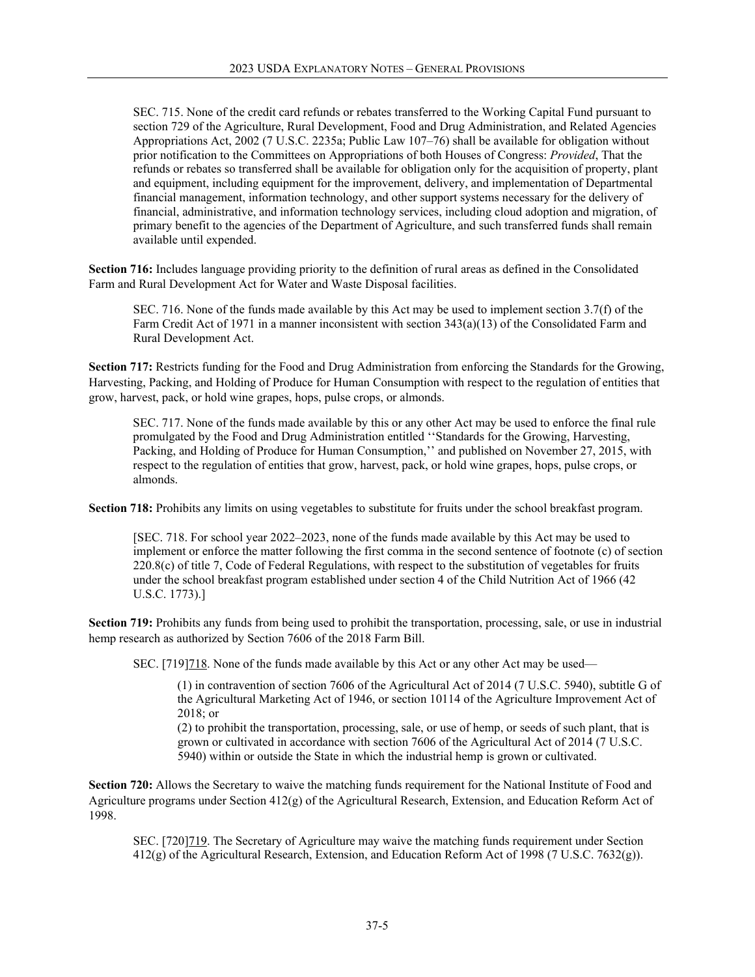SEC. 715. None of the credit card refunds or rebates transferred to the Working Capital Fund pursuant to section 729 of the Agriculture, Rural Development, Food and Drug Administration, and Related Agencies Appropriations Act, 2002 (7 U.S.C. 2235a; Public Law 107–76) shall be available for obligation without prior notification to the Committees on Appropriations of both Houses of Congress: *Provided*, That the refunds or rebates so transferred shall be available for obligation only for the acquisition of property, plant and equipment, including equipment for the improvement, delivery, and implementation of Departmental financial management, information technology, and other support systems necessary for the delivery of financial, administrative, and information technology services, including cloud adoption and migration, of primary benefit to the agencies of the Department of Agriculture, and such transferred funds shall remain available until expended.

**Section 716:** Includes language providing priority to the definition of rural areas as defined in the Consolidated Farm and Rural Development Act for Water and Waste Disposal facilities.

SEC. 716. None of the funds made available by this Act may be used to implement section 3.7(f) of the Farm Credit Act of 1971 in a manner inconsistent with section 343(a)(13) of the Consolidated Farm and Rural Development Act.

**Section 717:** Restricts funding for the Food and Drug Administration from enforcing the Standards for the Growing, Harvesting, Packing, and Holding of Produce for Human Consumption with respect to the regulation of entities that grow, harvest, pack, or hold wine grapes, hops, pulse crops, or almonds.

SEC. 717. None of the funds made available by this or any other Act may be used to enforce the final rule promulgated by the Food and Drug Administration entitled ''Standards for the Growing, Harvesting, Packing, and Holding of Produce for Human Consumption,'' and published on November 27, 2015, with respect to the regulation of entities that grow, harvest, pack, or hold wine grapes, hops, pulse crops, or almonds.

**Section 718:** Prohibits any limits on using vegetables to substitute for fruits under the school breakfast program.

[SEC. 718. For school year 2022–2023, none of the funds made available by this Act may be used to implement or enforce the matter following the first comma in the second sentence of footnote (c) of section  $220.8(c)$  of title 7, Code of Federal Regulations, with respect to the substitution of vegetables for fruits under the school breakfast program established under section 4 of the Child Nutrition Act of 1966 (42 U.S.C. 1773).]

**Section 719:** Prohibits any funds from being used to prohibit the transportation, processing, sale, or use in industrial hemp research as authorized by Section 7606 of the 2018 Farm Bill.

SEC. [719]718. None of the funds made available by this Act or any other Act may be used—

(1) in contravention of section 7606 of the Agricultural Act of 2014 (7 U.S.C. 5940), subtitle G of the Agricultural Marketing Act of 1946, or section 10114 of the Agriculture Improvement Act of 2018; or

(2) to prohibit the transportation, processing, sale, or use of hemp, or seeds of such plant, that is grown or cultivated in accordance with section 7606 of the Agricultural Act of 2014 (7 U.S.C. 5940) within or outside the State in which the industrial hemp is grown or cultivated.

**Section 720:** Allows the Secretary to waive the matching funds requirement for the National Institute of Food and Agriculture programs under Section 412(g) of the Agricultural Research, Extension, and Education Reform Act of 1998.

SEC. [720]719. The Secretary of Agriculture may waive the matching funds requirement under Section 412(g) of the Agricultural Research, Extension, and Education Reform Act of 1998 (7 U.S.C. 7632(g)).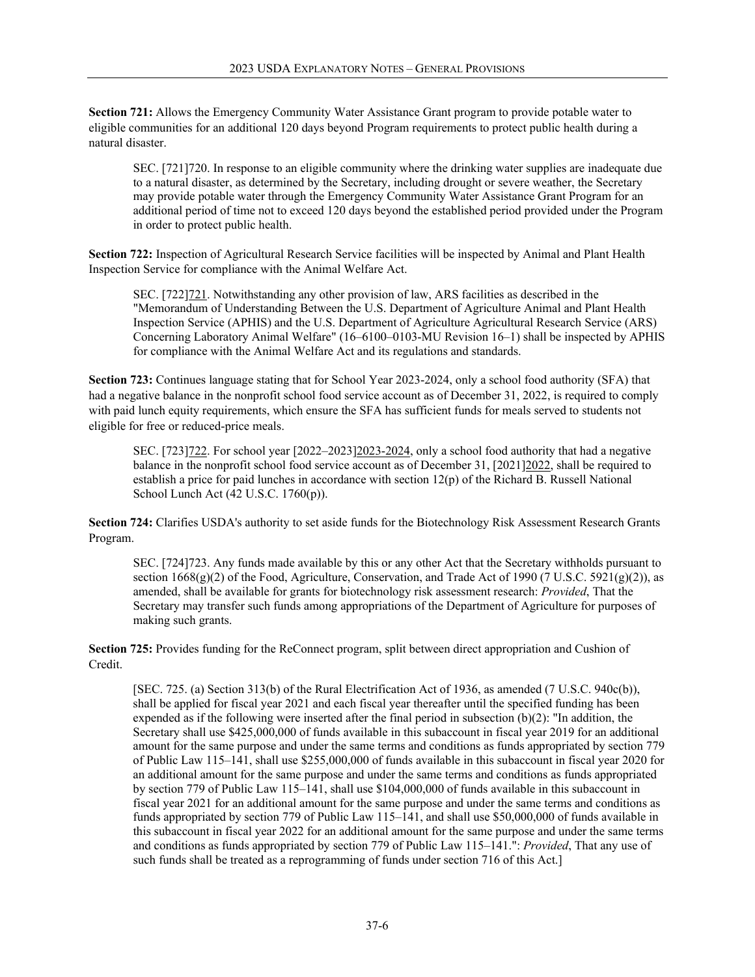**Section 721:** Allows the Emergency Community Water Assistance Grant program to provide potable water to eligible communities for an additional 120 days beyond Program requirements to protect public health during a natural disaster.

SEC. [721]720. In response to an eligible community where the drinking water supplies are inadequate due to a natural disaster, as determined by the Secretary, including drought or severe weather, the Secretary may provide potable water through the Emergency Community Water Assistance Grant Program for an additional period of time not to exceed 120 days beyond the established period provided under the Program in order to protect public health.

**Section 722:** Inspection of Agricultural Research Service facilities will be inspected by Animal and Plant Health Inspection Service for compliance with the Animal Welfare Act.

SEC. [722]721. Notwithstanding any other provision of law, ARS facilities as described in the "Memorandum of Understanding Between the U.S. Department of Agriculture Animal and Plant Health Inspection Service (APHIS) and the U.S. Department of Agriculture Agricultural Research Service (ARS) Concerning Laboratory Animal Welfare" (16–6100–0103-MU Revision 16–1) shall be inspected by APHIS for compliance with the Animal Welfare Act and its regulations and standards.

**Section 723:** Continues language stating that for School Year 2023-2024, only a school food authority (SFA) that had a negative balance in the nonprofit school food service account as of December 31, 2022, is required to comply with paid lunch equity requirements, which ensure the SFA has sufficient funds for meals served to students not eligible for free or reduced-price meals.

SEC. [723]722. For school year [2022–2023]2023-2024, only a school food authority that had a negative balance in the nonprofit school food service account as of December 31, [2021]2022, shall be required to establish a price for paid lunches in accordance with section 12(p) of the Richard B. Russell National School Lunch Act (42 U.S.C. 1760(p)).

**Section 724:** Clarifies USDA's authority to set aside funds for the Biotechnology Risk Assessment Research Grants Program.

SEC. [724]723. Any funds made available by this or any other Act that the Secretary withholds pursuant to section  $1668(g)(2)$  of the Food, Agriculture, Conservation, and Trade Act of 1990 (7 U.S.C. 5921(g)(2)), as amended, shall be available for grants for biotechnology risk assessment research: *Provided*, That the Secretary may transfer such funds among appropriations of the Department of Agriculture for purposes of making such grants.

**Section 725:** Provides funding for the ReConnect program, split between direct appropriation and Cushion of Credit.

[SEC. 725. (a) Section 313(b) of the Rural Electrification Act of 1936, as amended (7 U.S.C. 940c(b)), shall be applied for fiscal year 2021 and each fiscal year thereafter until the specified funding has been expended as if the following were inserted after the final period in subsection (b)(2): "In addition, the Secretary shall use \$425,000,000 of funds available in this subaccount in fiscal year 2019 for an additional amount for the same purpose and under the same terms and conditions as funds appropriated by section 779 of Public Law 115–141, shall use \$255,000,000 of funds available in this subaccount in fiscal year 2020 for an additional amount for the same purpose and under the same terms and conditions as funds appropriated by section 779 of Public Law 115–141, shall use \$104,000,000 of funds available in this subaccount in fiscal year 2021 for an additional amount for the same purpose and under the same terms and conditions as funds appropriated by section 779 of Public Law 115–141, and shall use \$50,000,000 of funds available in this subaccount in fiscal year 2022 for an additional amount for the same purpose and under the same terms and conditions as funds appropriated by section 779 of Public Law 115–141.": *Provided*, That any use of such funds shall be treated as a reprogramming of funds under section 716 of this Act.]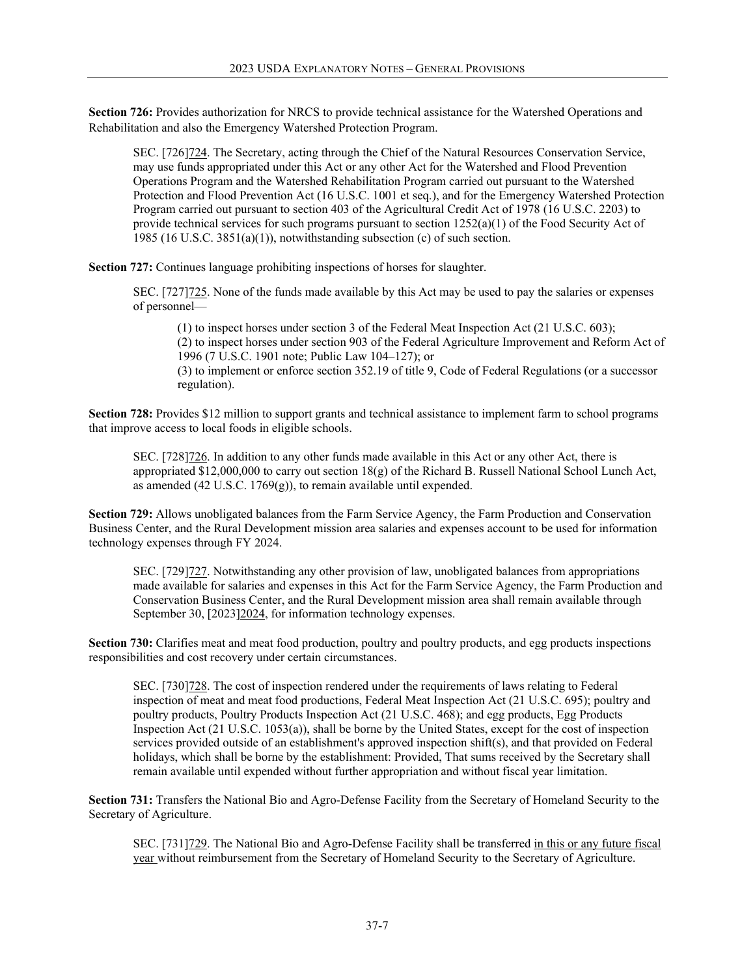**Section 726:** Provides authorization for NRCS to provide technical assistance for the Watershed Operations and Rehabilitation and also the Emergency Watershed Protection Program.

SEC. [726]724. The Secretary, acting through the Chief of the Natural Resources Conservation Service, may use funds appropriated under this Act or any other Act for the Watershed and Flood Prevention Operations Program and the Watershed Rehabilitation Program carried out pursuant to the Watershed Protection and Flood Prevention Act (16 U.S.C. 1001 et seq.), and for the Emergency Watershed Protection Program carried out pursuant to section 403 of the Agricultural Credit Act of 1978 (16 U.S.C. 2203) to provide technical services for such programs pursuant to section 1252(a)(1) of the Food Security Act of 1985 (16 U.S.C. 3851(a)(1)), notwithstanding subsection (c) of such section.

**Section 727:** Continues language prohibiting inspections of horses for slaughter.

SEC. [727]  $725$ . None of the funds made available by this Act may be used to pay the salaries or expenses of personnel—

(1) to inspect horses under section 3 of the Federal Meat Inspection Act (21 U.S.C. 603); (2) to inspect horses under section 903 of the Federal Agriculture Improvement and Reform Act of 1996 (7 U.S.C. 1901 note; Public Law 104–127); or (3) to implement or enforce section 352.19 of title 9, Code of Federal Regulations (or a successor regulation).

**Section 728:** Provides \$12 million to support grants and technical assistance to implement farm to school programs that improve access to local foods in eligible schools.

SEC. [728]726. In addition to any other funds made available in this Act or any other Act, there is appropriated \$12,000,000 to carry out section  $18(g)$  of the Richard B. Russell National School Lunch Act, as amended (42 U.S.C.  $1769(g)$ ), to remain available until expended.

**Section 729:** Allows unobligated balances from the Farm Service Agency, the Farm Production and Conservation Business Center, and the Rural Development mission area salaries and expenses account to be used for information technology expenses through FY 2024.

SEC. [729]727. Notwithstanding any other provision of law, unobligated balances from appropriations made available for salaries and expenses in this Act for the Farm Service Agency, the Farm Production and Conservation Business Center, and the Rural Development mission area shall remain available through September 30, [2023]2024, for information technology expenses.

**Section 730:** Clarifies meat and meat food production, poultry and poultry products, and egg products inspections responsibilities and cost recovery under certain circumstances.

SEC. [730]728. The cost of inspection rendered under the requirements of laws relating to Federal inspection of meat and meat food productions, Federal Meat Inspection Act (21 U.S.C. 695); poultry and poultry products, Poultry Products Inspection Act (21 U.S.C. 468); and egg products, Egg Products Inspection Act (21 U.S.C. 1053(a)), shall be borne by the United States, except for the cost of inspection services provided outside of an establishment's approved inspection shift(s), and that provided on Federal holidays, which shall be borne by the establishment: Provided, That sums received by the Secretary shall remain available until expended without further appropriation and without fiscal year limitation.

**Section 731:** Transfers the National Bio and Agro-Defense Facility from the Secretary of Homeland Security to the Secretary of Agriculture.

SEC. [731]729. The National Bio and Agro-Defense Facility shall be transferred in this or any future fiscal year without reimbursement from the Secretary of Homeland Security to the Secretary of Agriculture.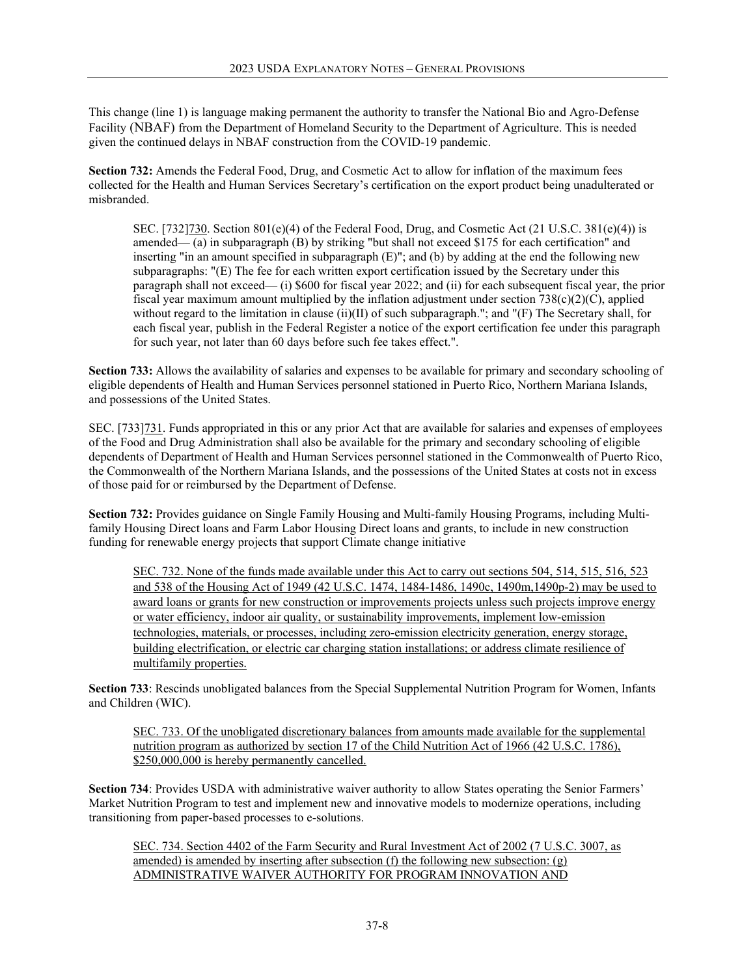This change (line 1) is language making permanent the authority to transfer the National Bio and Agro-Defense Facility (NBAF) from the Department of Homeland Security to the Department of Agriculture. This is needed given the continued delays in NBAF construction from the COVID-19 pandemic.

**Section 732:** Amends the Federal Food, Drug, and Cosmetic Act to allow for inflation of the maximum fees collected for the Health and Human Services Secretary's certification on the export product being unadulterated or misbranded.

SEC. [732]730. Section  $801(e)(4)$  of the Federal Food, Drug, and Cosmetic Act (21 U.S.C. 381(e)(4)) is amended— (a) in subparagraph (B) by striking "but shall not exceed \$175 for each certification" and inserting "in an amount specified in subparagraph (E)"; and (b) by adding at the end the following new subparagraphs: "(E) The fee for each written export certification issued by the Secretary under this paragraph shall not exceed— (i) \$600 for fiscal year 2022; and (ii) for each subsequent fiscal year, the prior fiscal year maximum amount multiplied by the inflation adjustment under section  $738(c)(2)(C)$ , applied without regard to the limitation in clause (ii)(II) of such subparagraph."; and "(F) The Secretary shall, for each fiscal year, publish in the Federal Register a notice of the export certification fee under this paragraph for such year, not later than 60 days before such fee takes effect.".

**Section 733:** Allows the availability of salaries and expenses to be available for primary and secondary schooling of eligible dependents of Health and Human Services personnel stationed in Puerto Rico, Northern Mariana Islands, and possessions of the United States.

SEC. [733]731. Funds appropriated in this or any prior Act that are available for salaries and expenses of employees of the Food and Drug Administration shall also be available for the primary and secondary schooling of eligible dependents of Department of Health and Human Services personnel stationed in the Commonwealth of Puerto Rico, the Commonwealth of the Northern Mariana Islands, and the possessions of the United States at costs not in excess of those paid for or reimbursed by the Department of Defense.

**Section 732:** Provides guidance on Single Family Housing and Multi-family Housing Programs, including Multifamily Housing Direct loans and Farm Labor Housing Direct loans and grants, to include in new construction funding for renewable energy projects that support Climate change initiative

SEC. 732. None of the funds made available under this Act to carry out sections 504, 514, 515, 516, 523 and 538 of the Housing Act of 1949 (42 U.S.C. 1474, 1484-1486, 1490c, 1490m,1490p-2) may be used to award loans or grants for new construction or improvements projects unless such projects improve energy or water efficiency, indoor air quality, or sustainability improvements, implement low-emission technologies, materials, or processes, including zero-emission electricity generation, energy storage, building electrification, or electric car charging station installations; or address climate resilience of multifamily properties.

**Section 733**: Rescinds unobligated balances from the Special Supplemental Nutrition Program for Women, Infants and Children (WIC).

SEC. 733. Of the unobligated discretionary balances from amounts made available for the supplemental nutrition program as authorized by section 17 of the Child Nutrition Act of 1966 (42 U.S.C. 1786), \$250,000,000 is hereby permanently cancelled.

**Section 734:** Provides USDA with administrative waiver authority to allow States operating the Senior Farmers' Market Nutrition Program to test and implement new and innovative models to modernize operations, including transitioning from paper-based processes to e-solutions.

SEC. 734. Section 4402 of the Farm Security and Rural Investment Act of 2002 (7 U.S.C. 3007, as amended) is amended by inserting after subsection (f) the following new subsection:  $(g)$ ADMINISTRATIVE WAIVER AUTHORITY FOR PROGRAM INNOVATION AND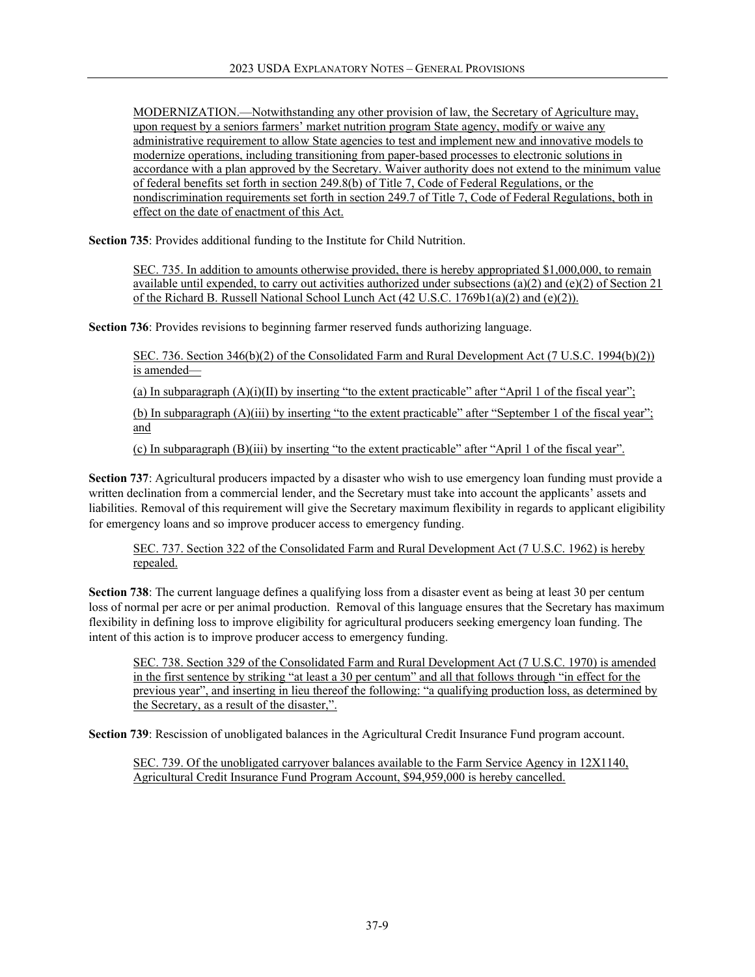MODERNIZATION.—Notwithstanding any other provision of law, the Secretary of Agriculture may, upon request by a seniors farmers' market nutrition program State agency, modify or waive any administrative requirement to allow State agencies to test and implement new and innovative models to modernize operations, including transitioning from paper-based processes to electronic solutions in accordance with a plan approved by the Secretary. Waiver authority does not extend to the minimum value of federal benefits set forth in section 249.8(b) of Title 7, Code of Federal Regulations, or the nondiscrimination requirements set forth in section 249.7 of Title 7, Code of Federal Regulations, both in effect on the date of enactment of this Act.

**Section 735**: Provides additional funding to the Institute for Child Nutrition.

SEC. 735. In addition to amounts otherwise provided, there is hereby appropriated \$1,000,000, to remain available until expended, to carry out activities authorized under subsections (a)(2) and (e)(2) of Section 21 of the Richard B. Russell National School Lunch Act (42 U.S.C. 1769b1(a)(2) and (e)(2)).

**Section 736**: Provides revisions to beginning farmer reserved funds authorizing language.

SEC. 736. Section 346(b)(2) of the Consolidated Farm and Rural Development Act (7 U.S.C. 1994(b)(2)) is amended—

(a) In subparagraph  $(A)(i)(II)$  by inserting "to the extent practicable" after "April 1 of the fiscal year";

(b) In subparagraph (A)(iii) by inserting "to the extent practicable" after "September 1 of the fiscal year"; and

(c) In subparagraph (B)(iii) by inserting "to the extent practicable" after "April 1 of the fiscal year".

**Section 737**: Agricultural producers impacted by a disaster who wish to use emergency loan funding must provide a written declination from a commercial lender, and the Secretary must take into account the applicants' assets and liabilities. Removal of this requirement will give the Secretary maximum flexibility in regards to applicant eligibility for emergency loans and so improve producer access to emergency funding.

SEC. 737. Section 322 of the Consolidated Farm and Rural Development Act (7 U.S.C. 1962) is hereby repealed.

**Section 738**: The current language defines a qualifying loss from a disaster event as being at least 30 per centum loss of normal per acre or per animal production. Removal of this language ensures that the Secretary has maximum flexibility in defining loss to improve eligibility for agricultural producers seeking emergency loan funding. The intent of this action is to improve producer access to emergency funding.

SEC. 738. Section 329 of the Consolidated Farm and Rural Development Act (7 U.S.C. 1970) is amended in the first sentence by striking "at least a 30 per centum" and all that follows through "in effect for the previous year", and inserting in lieu thereof the following: "a qualifying production loss, as determined by the Secretary, as a result of the disaster,".

**Section 739**: Rescission of unobligated balances in the Agricultural Credit Insurance Fund program account.

SEC. 739. Of the unobligated carryover balances available to the Farm Service Agency in 12X1140, Agricultural Credit Insurance Fund Program Account, \$94,959,000 is hereby cancelled.